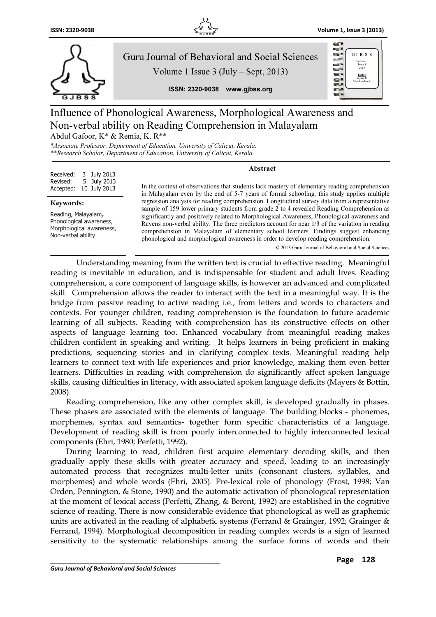



# Influence of Phonological Awareness, Morphological Awareness and Non-verbal ability on Reading Comprehension in Malayalam Abdul Gafoor, K\* & Remia, K. R\*\*

\*Associate Professor, Department of Education, University of Calicut, Kerala. \*\*Research Scholar, Department of Education, University of Calicut, Kerala.

| Received: 3 July 2013<br>Revised: 5 July 2013<br>Accepted: 10 July 2013 | Abstract                                                                                                                                                                                    |
|-------------------------------------------------------------------------|---------------------------------------------------------------------------------------------------------------------------------------------------------------------------------------------|
|                                                                         | In the context of observations that students lack mastery of elementary reading comprehension<br>in Malayalam even by the end of 5-7 years of formal schooling, this study applies multiple |
|                                                                         | requestion on about for reading communication. Longitudinal quarter data from a requestative                                                                                                |

#### Keywords:

Reading, Malayalam, Phonological awareness, Morphological awareness, Non-verbal ability

in Malayalam even by the end of 5-7 years of formal schooling, this study applies multiple regression analysis for reading comprehension. Longitudinal survey data from a representative sample of 159 lower primary students from grade 2 to 4 revealed Reading Comprehension as significantly and positively related to Morphological Awareness, Phonological awareness and Ravens non-verbal ability. The three predictors account for near 1/3 of the variation in reading comprehension in Malayalam of elementary school learners. Findings suggest enhancing phonological and morphological awareness in order to develop reading comprehension.

© 2013 Guru Journal of Behavioral and Social Sciences

Understanding meaning from the written text is crucial to effective reading. Meaningful reading is inevitable in education, and is indispensable for student and adult lives. Reading comprehension, a core component of language skills, is however an advanced and complicated skill. Comprehension allows the reader to interact with the text in a meaningful way. It is the bridge from passive reading to active reading i.e., from letters and words to characters and contexts. For younger children, reading comprehension is the foundation to future academic learning of all subjects. Reading with comprehension has its constructive effects on other aspects of language learning too. Enhanced vocabulary from meaningful reading makes children confident in speaking and writing. It helps learners in being proficient in making predictions, sequencing stories and in clarifying complex texts. Meaningful reading help learners to connect text with life experiences and prior knowledge, making them even better learners. Difficulties in reading with comprehension do significantly affect spoken language skills, causing difficulties in literacy, with associated spoken language deficits (Mayers & Bottin, 2008).

Reading comprehension, like any other complex skill, is developed gradually in phases. These phases are associated with the elements of language. The building blocks - phonemes, morphemes, syntax and semantics- together form specific characteristics of a language. Development of reading skill is from poorly interconnected to highly interconnected lexical components (Ehri, 1980; Perfetti, 1992).

During learning to read, children first acquire elementary decoding skills, and then gradually apply these skills with greater accuracy and speed, leading to an increasingly automated process that recognizes multi-letter units (consonant clusters, syllables, and morphemes) and whole words (Ehri, 2005). Pre-lexical role of phonology (Frost, 1998; Van Orden, Pennington, & Stone, 1990) and the automatic activation of phonological representation at the moment of lexical access (Perfetti, Zhang, & Berent, 1992) are established in the cognitive science of reading. There is now considerable evidence that phonological as well as graphemic units are activated in the reading of alphabetic systems (Ferrand & Grainger, 1992; Grainger & Ferrand, 1994). Morphological decomposition in reading complex words is a sign of learned sensitivity to the systematic relationships among the surface forms of words and their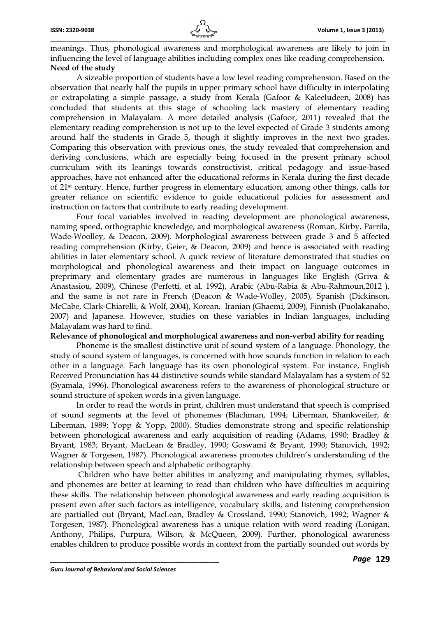meanings. Thus, phonological awareness and morphological awareness are likely to join in influencing the level of language abilities including complex ones like reading comprehension. Need of the study

\_\_\_\_\_\_\_\_\_\_\_\_\_\_\_\_\_\_\_\_\_\_\_\_\_\_\_\_\_\_\_\_\_\_\_\_\_\_\_\_\_\_\_\_\_\_\_\_\_\_\_\_\_\_\_\_\_\_\_\_\_\_\_\_\_\_\_\_\_\_\_\_\_\_\_\_\_\_\_\_\_\_\_\_\_\_\_\_\_\_\_\_\_\_\_\_\_\_\_\_\_\_\_

A sizeable proportion of students have a low level reading comprehension. Based on the observation that nearly half the pupils in upper primary school have difficulty in interpolating or extrapolating a simple passage, a study from Kerala (Gafoor & Kaleeludeen, 2008) has concluded that students at this stage of schooling lack mastery of elementary reading comprehension in Malayalam. A more detailed analysis (Gafoor, 2011) revealed that the elementary reading comprehension is not up to the level expected of Grade 3 students among around half the students in Grade 5, though it slightly improves in the next two grades. Comparing this observation with previous ones, the study revealed that comprehension and deriving conclusions, which are especially being focused in the present primary school curriculum with its leanings towards constructivist, critical pedagogy and issue-based approaches, have not enhanced after the educational reforms in Kerala during the first decade of 21st century. Hence, further progress in elementary education, among other things, calls for greater reliance on scientific evidence to guide educational policies for assessment and instruction on factors that contribute to early reading development.

Four focal variables involved in reading development are phonological awareness, naming speed, orthographic knowledge, and morphological awareness (Roman, Kirby, Parrila, Wade-Woolley, & Deacon, 2009). Morphological awareness between grade 3 and 5 affected reading comprehension (Kirby, Geier, & Deacon, 2009) and hence is associated with reading abilities in later elementary school. A quick review of literature demonstrated that studies on morphological and phonological awareness and their impact on language outcomes in preprimary and elementary grades are numerous in languages like English (Griva & Anastasiou, 2009), Chinese (Perfetti, et al. 1992), Arabic (Abu-Rabia & Abu-Rahmoun,2012 ), and the same is not rare in French (Deacon & Wade-Wolley, 2005), Spanish (Dickinson, McCabe, Clark-Chiarelli, & Wolf, 2004), Korean, Iranian (Ghaemi, 2009), Finnish (Puolakanaho, 2007) and Japanese. However, studies on these variables in Indian languages, including Malayalam was hard to find.

#### Relevance of phonological and morphological awareness and non-verbal ability for reading

Phoneme is the smallest distinctive unit of sound system of a language. Phonology, the study of sound system of languages, is concerned with how sounds function in relation to each other in a language. Each language has its own phonological system. For instance, English Received Pronunciation has 44 distinctive sounds while standard Malayalam has a system of 52 (Syamala, 1996). Phonological awareness refers to the awareness of phonological structure or sound structure of spoken words in a given language.

In order to read the words in print, children must understand that speech is comprised of sound segments at the level of phonemes (Blachman, 1994; Liberman, Shankweiler, & Liberman, 1989; Yopp & Yopp, 2000). Studies demonstrate strong and specific relationship between phonological awareness and early acquisition of reading (Adams, 1990; Bradley & Bryant, 1983; Bryant, MacLean & Bradley, 1990; Goswami & Bryant, 1990; Stanovich, 1992; Wagner & Torgesen, 1987). Phonological awareness promotes children's understanding of the relationship between speech and alphabetic orthography.

 Children who have better abilities in analyzing and manipulating rhymes, syllables, and phonemes are better at learning to read than children who have difficulties in acquiring these skills. The relationship between phonological awareness and early reading acquisition is present even after such factors as intelligence, vocabulary skills, and listening comprehension are partialled out (Bryant, MacLean, Bradley & Crossland, 1990; Stanovich, 1992; Wagner & Torgesen, 1987). Phonological awareness has a unique relation with word reading (Lonigan, Anthony, Philips, Purpura, Wilson, & McQueen, 2009). Further, phonological awareness enables children to produce possible words in context from the partially sounded out words by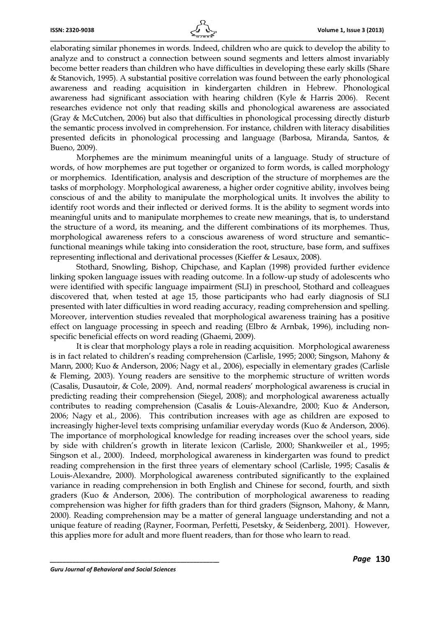

elaborating similar phonemes in words. Indeed, children who are quick to develop the ability to analyze and to construct a connection between sound segments and letters almost invariably become better readers than children who have difficulties in developing these early skills (Share & Stanovich, 1995). A substantial positive correlation was found between the early phonological awareness and reading acquisition in kindergarten children in Hebrew. Phonological awareness had significant association with hearing children (Kyle & Harris 2006). Recent researches evidence not only that reading skills and phonological awareness are associated (Gray & McCutchen, 2006) but also that difficulties in phonological processing directly disturb the semantic process involved in comprehension. For instance, children with literacy disabilities presented deficits in phonological processing and language (Barbosa, Miranda, Santos, & Bueno, 2009).

Morphemes are the minimum meaningful units of a language. Study of structure of words, of how morphemes are put together or organized to form words, is called morphology or morphemics. Identification, analysis and description of the structure of morphemes are the tasks of morphology. Morphological awareness, a higher order cognitive ability, involves being conscious of and the ability to manipulate the morphological units. It involves the ability to identify root words and their inflected or derived forms. It is the ability to segment words into meaningful units and to manipulate morphemes to create new meanings, that is, to understand the structure of a word, its meaning, and the different combinations of its morphemes. Thus, morphological awareness refers to a conscious awareness of word structure and semantic– functional meanings while taking into consideration the root, structure, base form, and suffixes representing inflectional and derivational processes (Kieffer & Lesaux, 2008).

Stothard, Snowling, Bishop, Chipchase, and Kaplan (1998) provided further evidence linking spoken language issues with reading outcome. In a follow-up study of adolescents who were identified with specific language impairment (SLI) in preschool, Stothard and colleagues discovered that, when tested at age 15, those participants who had early diagnosis of SLI presented with later difficulties in word reading accuracy, reading comprehension and spelling. Moreover, intervention studies revealed that morphological awareness training has a positive effect on language processing in speech and reading (Elbro & Arnbak, 1996), including nonspecific beneficial effects on word reading (Ghaemi, 2009).

It is clear that morphology plays a role in reading acquisition. Morphological awareness is in fact related to children's reading comprehension (Carlisle, 1995; 2000; Singson, Mahony & Mann, 2000; Kuo & Anderson, 2006; Nagy et al., 2006), especially in elementary grades (Carlisle & Fleming, 2003). Young readers are sensitive to the morphemic structure of written words (Casalis, Dusautoir, & Cole, 2009). And, normal readers' morphological awareness is crucial in predicting reading their comprehension (Siegel, 2008); and morphological awareness actually contributes to reading comprehension (Casalis & Louis-Alexandre, 2000; Kuo & Anderson, 2006; Nagy et al., 2006). This contribution increases with age as children are exposed to increasingly higher-level texts comprising unfamiliar everyday words (Kuo & Anderson, 2006). The importance of morphological knowledge for reading increases over the school years, side by side with children's growth in literate lexicon (Carlisle, 2000; Shankweiler et al., 1995; Singson et al., 2000). Indeed, morphological awareness in kindergarten was found to predict reading comprehension in the first three years of elementary school (Carlisle, 1995; Casalis & Louis-Alexandre, 2000). Morphological awareness contributed significantly to the explained variance in reading comprehension in both English and Chinese for second, fourth, and sixth graders (Kuo & Anderson, 2006). The contribution of morphological awareness to reading comprehension was higher for fifth graders than for third graders (Signson, Mahony, & Mann, 2000). Reading comprehension may be a matter of general language understanding and not a unique feature of reading (Rayner, Foorman, Perfetti, Pesetsky, & Seidenberg, 2001). However, this applies more for adult and more fluent readers, than for those who learn to read.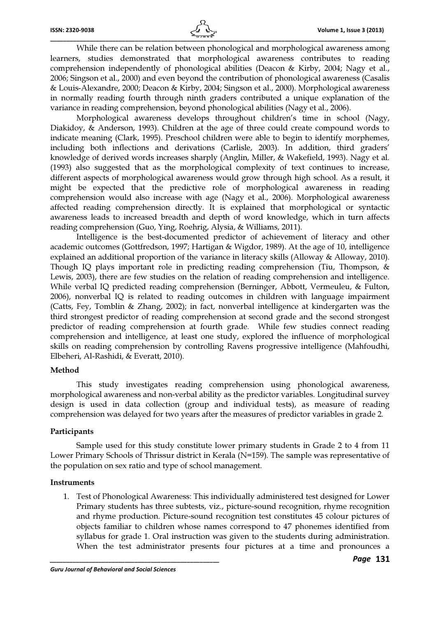While there can be relation between phonological and morphological awareness among learners, studies demonstrated that morphological awareness contributes to reading comprehension independently of phonological abilities (Deacon & Kirby, 2004; Nagy et al., 2006; Singson et al., 2000) and even beyond the contribution of phonological awareness (Casalis & Louis-Alexandre, 2000; Deacon & Kirby, 2004; Singson et al., 2000). Morphological awareness in normally reading fourth through ninth graders contributed a unique explanation of the variance in reading comprehension, beyond phonological abilities (Nagy et al., 2006).

\_\_\_\_\_\_\_\_\_\_\_\_\_\_\_\_\_\_\_\_\_\_\_\_\_\_\_\_\_\_\_\_\_\_\_\_\_\_\_\_\_\_\_\_\_\_\_\_\_\_\_\_\_\_\_\_\_\_\_\_\_\_\_\_\_\_\_\_\_\_\_\_\_\_\_\_\_\_\_\_\_\_\_\_\_\_\_\_\_\_\_\_\_\_\_\_\_\_\_\_\_\_\_

Morphological awareness develops throughout children's time in school (Nagy, Diakidoy, & Anderson, 1993). Children at the age of three could create compound words to indicate meaning (Clark, 1995). Preschool children were able to begin to identify morphemes, including both inflections and derivations (Carlisle, 2003). In addition, third graders' knowledge of derived words increases sharply (Anglin, Miller, & Wakefield, 1993). Nagy et al. (1993) also suggested that as the morphological complexity of text continues to increase, different aspects of morphological awareness would grow through high school. As a result, it might be expected that the predictive role of morphological awareness in reading comprehension would also increase with age (Nagy et al., 2006). Morphological awareness affected reading comprehension directly. It is explained that morphological or syntactic awareness leads to increased breadth and depth of word knowledge, which in turn affects reading comprehension (Guo, Ying, Roehrig, Alysia, & Williams, 2011).

Intelligence is the best-documented predictor of achievement of literacy and other academic outcomes (Gottfredson, 1997; Hartigan & Wigdor, 1989). At the age of 10, intelligence explained an additional proportion of the variance in literacy skills (Alloway & Alloway, 2010). Though IQ plays important role in predicting reading comprehension (Tiu, Thompson, & Lewis, 2003), there are few studies on the relation of reading comprehension and intelligence. While verbal IQ predicted reading comprehension (Berninger, Abbott, Vermeuleu, & Fulton, 2006), nonverbal IQ is related to reading outcomes in children with language impairment (Catts, Fey, Tomblin & Zhang, 2002); in fact, nonverbal intelligence at kindergarten was the third strongest predictor of reading comprehension at second grade and the second strongest predictor of reading comprehension at fourth grade. While few studies connect reading comprehension and intelligence, at least one study, explored the influence of morphological skills on reading comprehension by controlling Ravens progressive intelligence (Mahfoudhi, Elbeheri, Al-Rashidi, & Everatt, 2010).

#### Method

 This study investigates reading comprehension using phonological awareness, morphological awareness and non-verbal ability as the predictor variables. Longitudinal survey design is used in data collection (group and individual tests), as measure of reading comprehension was delayed for two years after the measures of predictor variables in grade 2.

### Participants

 Sample used for this study constitute lower primary students in Grade 2 to 4 from 11 Lower Primary Schools of Thrissur district in Kerala (N=159). The sample was representative of the population on sex ratio and type of school management.

#### Instruments

1. Test of Phonological Awareness: This individually administered test designed for Lower Primary students has three subtests, viz., picture-sound recognition, rhyme recognition and rhyme production. Picture-sound recognition test constitutes 45 colour pictures of objects familiar to children whose names correspond to 47 phonemes identified from syllabus for grade 1. Oral instruction was given to the students during administration. When the test administrator presents four pictures at a time and pronounces a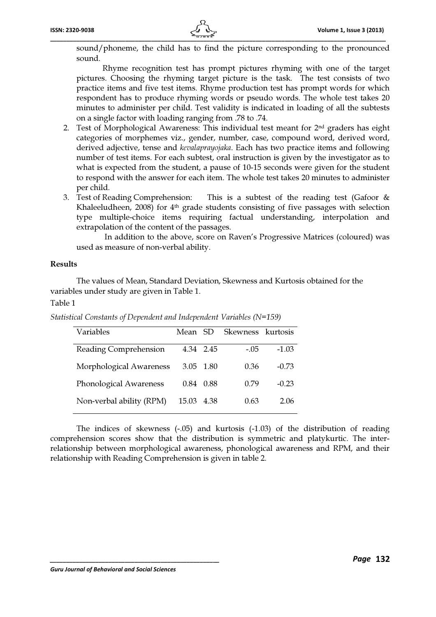

 Rhyme recognition test has prompt pictures rhyming with one of the target pictures. Choosing the rhyming target picture is the task. The test consists of two practice items and five test items. Rhyme production test has prompt words for which respondent has to produce rhyming words or pseudo words. The whole test takes 20 minutes to administer per child. Test validity is indicated in loading of all the subtests on a single factor with loading ranging from .78 to .74.

- 2. Test of Morphological Awareness: This individual test meant for 2nd graders has eight categories of morphemes viz., gender, number, case, compound word, derived word, derived adjective, tense and kevalaprayojaka. Each has two practice items and following number of test items. For each subtest, oral instruction is given by the investigator as to what is expected from the student, a pause of 10-15 seconds were given for the student to respond with the answer for each item. The whole test takes 20 minutes to administer per child.
- 3. Test of Reading Comprehension: This is a subtest of the reading test (Gafoor & Khaleeludheen, 2008) for  $4<sup>th</sup>$  grade students consisting of five passages with selection type multiple-choice items requiring factual understanding, interpolation and extrapolation of the content of the passages.

 In addition to the above, score on Raven's Progressive Matrices (coloured) was used as measure of non-verbal ability.

### Results

The values of Mean, Standard Deviation, Skewness and Kurtosis obtained for the variables under study are given in Table 1.

Table 1

| Variables                     | Mean SD |           | Skewness kurtosis |         |
|-------------------------------|---------|-----------|-------------------|---------|
| Reading Comprehension         |         | 4.34 2.45 | $-.05$            | $-1.03$ |
| Morphological Awareness       |         | 3.05 1.80 | 0.36              | $-0.73$ |
| <b>Phonological Awareness</b> | 0.84    | 0.88      | 0.79              | $-0.23$ |
| Non-verbal ability (RPM)      | 15.03   | 4.38      | 0.63              | 206     |

Statistical Constants of Dependent and Independent Variables (N=159)

The indices of skewness (-.05) and kurtosis (-1.03) of the distribution of reading comprehension scores show that the distribution is symmetric and platykurtic. The interrelationship between morphological awareness, phonological awareness and RPM, and their relationship with Reading Comprehension is given in table 2.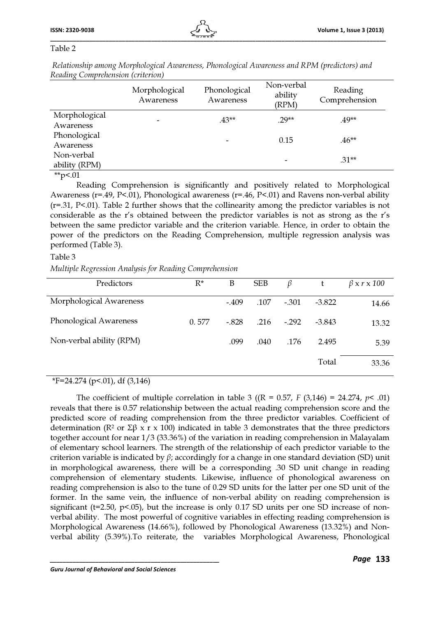### Table 2

| Renning Complementation (chaetion) |                            |                           |                                |                          |
|------------------------------------|----------------------------|---------------------------|--------------------------------|--------------------------|
|                                    | Morphological<br>Awareness | Phonological<br>Awareness | Non-verbal<br>ability<br>(RPM) | Reading<br>Comprehension |
| Morphological<br>Awareness         |                            | $.43**$                   | $.29**$                        | .49**                    |
| Phonological<br>Awareness          |                            |                           | 0.15                           | $.46**$                  |
| Non-verbal<br>ability (RPM)        |                            |                           |                                | $.31**$                  |
| ہ س                                |                            |                           |                                |                          |

 Relationship among Morphological Awareness, Phonological Awareness and RPM (predictors) and Reading Comprehension (criterion)

 $*$ <sub>p</sub> $< 01$ 

Reading Comprehension is significantly and positively related to Morphological Awareness (r=.49, P<.01), Phonological awareness (r=.46, P<.01) and Ravens non-verbal ability (r=.31, P<.01). Table 2 further shows that the collinearity among the predictor variables is not considerable as the r's obtained between the predictor variables is not as strong as the r's between the same predictor variable and the criterion variable. Hence, in order to obtain the power of the predictors on the Reading Comprehension, multiple regression analysis was performed (Table 3).

### Table 3

Multiple Regression Analysis for Reading Comprehension

| Predictors               | $R^*$ | B       | <b>SEB</b> | β       | t        | $\beta$ x r x 100 |
|--------------------------|-------|---------|------------|---------|----------|-------------------|
| Morphological Awareness  |       | $-.409$ | .107       | $-.301$ | $-3.822$ | 14.66             |
| Phonological Awareness   | 0.577 | $-.828$ | .216       | $-.292$ | $-3.843$ | 13.32             |
| Non-verbal ability (RPM) |       | .099    | .040       | .176    | 2.495    | 5.39              |
|                          |       |         |            |         | Total    | 33.36             |

## \*F=24.274 (p<.01), df (3,146)

The coefficient of multiple correlation in table 3 ((R = 0.57, F (3,146) = 24.274,  $p$ < .01) reveals that there is 0.57 relationship between the actual reading comprehension score and the predicted score of reading comprehension from the three predictor variables. Coefficient of determination (R<sup>2</sup> or Σβ x r x 100) indicated in table 3 demonstrates that the three predictors together account for near 1/3 (33.36%) of the variation in reading comprehension in Malayalam of elementary school learners. The strength of the relationship of each predictor variable to the criterion variable is indicated by  $\beta$ ; accordingly for a change in one standard deviation (SD) unit in morphological awareness, there will be a corresponding .30 SD unit change in reading comprehension of elementary students. Likewise, influence of phonological awareness on reading comprehension is also to the tune of 0.29 SD units for the latter per one SD unit of the former. In the same vein, the influence of non-verbal ability on reading comprehension is significant ( $t=2.50$ ,  $p<0.05$ ), but the increase is only 0.17 SD units per one SD increase of nonverbal ability. The most powerful of cognitive variables in effecting reading comprehension is Morphological Awareness (14.66%), followed by Phonological Awareness (13.32%) and Nonverbal ability (5.39%).To reiterate, the variables Morphological Awareness, Phonological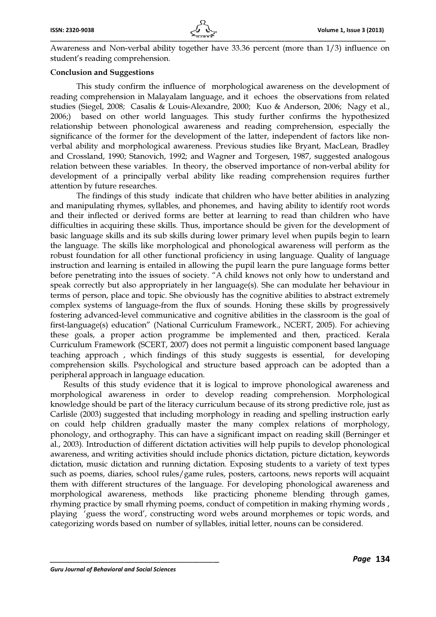Awareness and Non-verbal ability together have 33.36 percent (more than 1/3) influence on student's reading comprehension.

### Conclusion and Suggestions

This study confirm the influence of morphological awareness on the development of reading comprehension in Malayalam language, and it echoes the observations from related studies (Siegel, 2008; Casalis & Louis-Alexandre, 2000; Kuo & Anderson, 2006; Nagy et al., 2006;) based on other world languages. This study further confirms the hypothesized relationship between phonological awareness and reading comprehension, especially the significance of the former for the development of the latter, independent of factors like nonverbal ability and morphological awareness. Previous studies like Bryant, MacLean, Bradley and Crossland, 1990; Stanovich, 1992; and Wagner and Torgesen, 1987, suggested analogous relation between these variables. In theory, the observed importance of non-verbal ability for development of a principally verbal ability like reading comprehension requires further attention by future researches.

The findings of this study indicate that children who have better abilities in analyzing and manipulating rhymes, syllables, and phonemes, and having ability to identify root words and their inflected or derived forms are better at learning to read than children who have difficulties in acquiring these skills. Thus, importance should be given for the development of basic language skills and its sub skills during lower primary level when pupils begin to learn the language. The skills like morphological and phonological awareness will perform as the robust foundation for all other functional proficiency in using language. Quality of language instruction and learning is entailed in allowing the pupil learn the pure language forms better before penetrating into the issues of society. "A child knows not only how to understand and speak correctly but also appropriately in her language(s). She can modulate her behaviour in terms of person, place and topic. She obviously has the cognitive abilities to abstract extremely complex systems of language-from the flux of sounds. Honing these skills by progressively fostering advanced-level communicative and cognitive abilities in the classroom is the goal of first-language(s) education" (National Curriculum Framework., NCERT, 2005). For achieving these goals, a proper action programme be implemented and then, practiced. Kerala Curriculum Framework (SCERT, 2007) does not permit a linguistic component based language teaching approach , which findings of this study suggests is essential, for developing comprehension skills. Psychological and structure based approach can be adopted than a peripheral approach in language education.

Results of this study evidence that it is logical to improve phonological awareness and morphological awareness in order to develop reading comprehension. Morphological knowledge should be part of the literacy curriculum because of its strong predictive role, just as Carlisle (2003) suggested that including morphology in reading and spelling instruction early on could help children gradually master the many complex relations of morphology, phonology, and orthography. This can have a significant impact on reading skill (Berninger et al., 2003). Introduction of different dictation activities will help pupils to develop phonological awareness, and writing activities should include phonics dictation, picture dictation, keywords dictation, music dictation and running dictation. Exposing students to a variety of text types such as poems, diaries, school rules/game rules, posters, cartoons, news reports will acquaint them with different structures of the language. For developing phonological awareness and morphological awareness, methods like practicing phoneme blending through games, rhyming practice by small rhyming poems, conduct of competition in making rhyming words , playing 'guess the word', constructing word webs around morphemes or topic words, and categorizing words based on number of syllables, initial letter, nouns can be considered.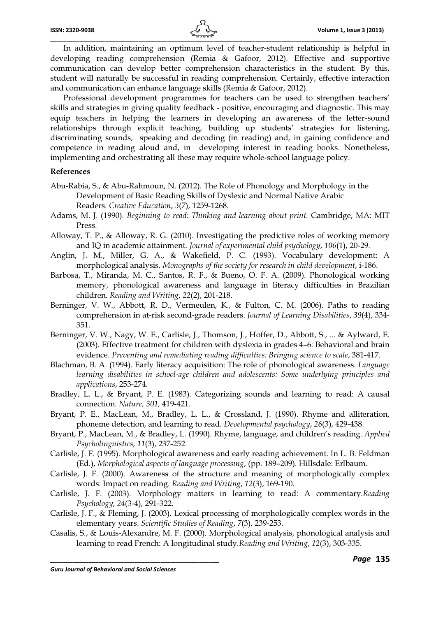In addition, maintaining an optimum level of teacher-student relationship is helpful in developing reading comprehension (Remia & Gafoor, 2012). Effective and supportive communication can develop better comprehension characteristics in the student. By this, student will naturally be successful in reading comprehension. Certainly, effective interaction and communication can enhance language skills (Remia & Gafoor, 2012).

Professional development programmes for teachers can be used to strengthen teachers' skills and strategies in giving quality feedback - positive, encouraging and diagnostic. This may equip teachers in helping the learners in developing an awareness of the letter-sound relationships through explicit teaching, building up students' strategies for listening, discriminating sounds, speaking and decoding (in reading) and, in gaining confidence and competence in reading aloud and, in developing interest in reading books. Nonetheless, implementing and orchestrating all these may require whole-school language policy.

#### References

- Abu-Rabia, S., & Abu-Rahmoun, N. (2012). The Role of Phonology and Morphology in the Development of Basic Reading Skills of Dyslexic and Normal Native Arabic Readers. Creative Education, 3(7), 1259-1268.
- Adams, M. J. (1990). Beginning to read: Thinking and learning about print. Cambridge, MA: MIT Press.
- Alloway, T. P., & Alloway, R. G. (2010). Investigating the predictive roles of working memory and IQ in academic attainment. Journal of experimental child psychology, 106(1), 20-29.
- Anglin, J. M., Miller, G. A., & Wakefield, P. C. (1993). Vocabulary development: A morphological analysis. Monographs of the society for research in child development, i-186.
- Barbosa, T., Miranda, M. C., Santos, R. F., & Bueno, O. F. A. (2009). Phonological working memory, phonological awareness and language in literacy difficulties in Brazilian children. Reading and Writing, 22(2), 201-218.
- Berninger, V. W., Abbott, R. D., Vermeulen, K., & Fulton, C. M. (2006). Paths to reading comprehension in at-risk second-grade readers. Journal of Learning Disabilities, 39(4), 334- 351.
- Berninger, V. W., Nagy, W. E., Carlisle, J., Thomson, J., Hoffer, D., Abbott, S., ... & Aylward, E. (2003). Effective treatment for children with dyslexia in grades 4–6: Behavioral and brain evidence. Preventing and remediating reading difficulties: Bringing science to scale, 381-417.
- Blachman, B. A. (1994). Early literacy acquisition: The role of phonological awareness. Language learning disabilities in school-age children and adolescents: Some underlying principles and applications, 253-274.
- Bradley, L. L., & Bryant, P. E. (1983). Categorizing sounds and learning to read: A causal connection. Nature, 301, 419-421.
- Bryant, P. E., MacLean, M., Bradley, L. L., & Crossland, J. (1990). Rhyme and alliteration, phoneme detection, and learning to read. Developmental psychology, 26(3), 429-438.
- Bryant, P., MacLean, M., & Bradley, L. (1990). Rhyme, language, and children's reading. Applied Psycholinguistics, 11(3), 237-252.
- Carlisle, J. F. (1995). Morphological awareness and early reading achievement. In L. B. Feldman (Ed.), Morphological aspects of language processing, (pp. 189–209). Hillsdale: Erlbaum.
- Carlisle, J. F. (2000). Awareness of the structure and meaning of morphologically complex words: Impact on reading. Reading and Writing, 12(3), 169-190.
- Carlisle, J. F. (2003). Morphology matters in learning to read: A commentary.Reading Psychology, 24(3-4), 291-322.
- Carlisle, J. F., & Fleming, J. (2003). Lexical processing of morphologically complex words in the elementary years. Scientific Studies of Reading, 7(3), 239-253.
- Casalis, S., & Louis-Alexandre, M. F. (2000). Morphological analysis, phonological analysis and learning to read French: A longitudinal study.Reading and Writing, 12(3), 303-335.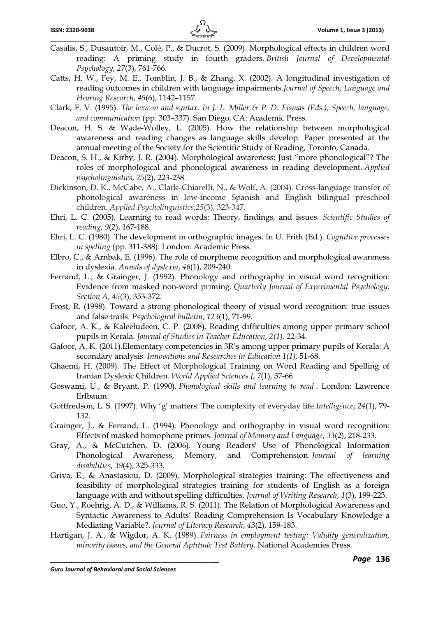- Casalis, S., Dusautoir, M., Colé, P., & Ducrot, S. (2009). Morphological effects in children word reading: A priming study in fourth graders. *British Journal of Developmental Psychology*, *27*(3), 761-766.
- Catts, H. W., Fey, M. E., Tomblin, J. B., & Zhang, X. (2002). A longitudinal investigation of reading outcomes in children with language impairments.*Journal of Speech, Language and Hearing Research*, *45*(6), 1142–1157.
- Clark, E. V. (1995). *The lexicon and syntax. In J. L. Miller & P. D. Eismas (Eds.), Speech, language, and communication* (pp. 303–337). San Diego, CA: Academic Press.
- Deacon, H. S. & Wade-Wolley, L. (2005). How the relationship between morphological awareness and reading changes as language skills develop. Paper presented at the annual meeting of the Society for the Scientific Study of Reading, Toronto, Canada.
- Deacon, S. H., & Kirby, J. R. (2004). Morphological awareness: Just "more phonological"? The roles of morphological and phonological awareness in reading development. *Applied psycholinguistics*, *25*(2), 223-238.
- Dickinson, D. K., McCabe, A., Clark–Chiarelli, N., & Wolf, A. (2004). Cross-language transfer of phonological awareness in low-income Spanish and English bilingual preschool children. *Applied Psycholinguistics*,*25*(3), 323-347.
- Ehri, L. C. (2005). Learning to read words: Theory, findings, and issues. *Scientific Studies of reading*, *9*(2), 167-188.
- Ehri, L. C. (1980). The development in orthographic images. In U. Frith (Ed.). *Cognitive processes in spelling* (pp. 311-388). London: Academic Press.
- Elbro, C., & Arnbak, E. (1996). The role of morpheme recognition and morphological awareness in dyslexia. *Annals of dyslexia*, *46*(1), 209-240.
- Ferrand, L., & Grainger, J. (1992). Phonology and orthography in visual word recognition: Evidence from masked non-word priming. *Quarterly Journal of Experimental Psychology: Section A*, *45*(3), 353-372.
- Frost, R. (1998). Toward a strong phonological theory of visual word recognition: true issues and false trails. *Psychological bulletin*, *123*(1), 71-99.
- Gafoor, A. K., & Kaleeludeen, C. P. (2008). Reading difficulties among upper primary school pupils in Kerala. *Journal of Studies in Teacher Education, 2(1),* 22-34.
- Gafoor, A. K. (2011).Elementary competencies in 3R's among upper primary pupils of Kerala: A secondary analysis. *Innovations and Researches in Education 1(1),* 51-68.
- Ghaemi, H. (2009). The Effect of Morphological Training on Word Reading and Spelling of Iranian Dyslexic Children. *World Applied Sciences J*, *7*(1), 57-66.
- Goswami, U., & Bryant, P. (1990). *Phonological skills and learning to read* . London: Lawrence Erlbaum.
- Gottfredson, L. S. (1997). Why 'g' matters: The complexity of everyday life.*Intelligence*, *24*(1), 79- 132.
- Grainger, J., & Ferrand, L. (1994). Phonology and orthography in visual word recognition: Effects of masked homophone primes. *Journal of Memory and Language*, *33*(2), 218-233.
- Gray, A., & McCutchen, D. (2006). Young Readers' Use of Phonological Information Phonological Awareness, Memory, and Comprehension. *Journal of learning disabilities*, *39*(4), 325-333.
- Griva, E., & Anastasiou, D. (2009). Morphological strategies training: The effectiveness and feasibility of morphological strategies training for students of English as a foreign language with and without spelling difficulties. *Journal of Writing Research*, *1*(3), 199-223.
- Guo, Y., Roehrig, A. D., & Williams, R. S. (2011). The Relation of Morphological Awareness and Syntactic Awareness to Adults' Reading Comprehension Is Vocabulary Knowledge a Mediating Variable?. *Journal of Literacy Research*, *43*(2), 159-183.
- Hartigan, J. A., & Wigdor, A. K. (1989). *Fairness in employment testing: Validity generalization, minority issues, and the General Aptitude Test Battery*. National Academies Press.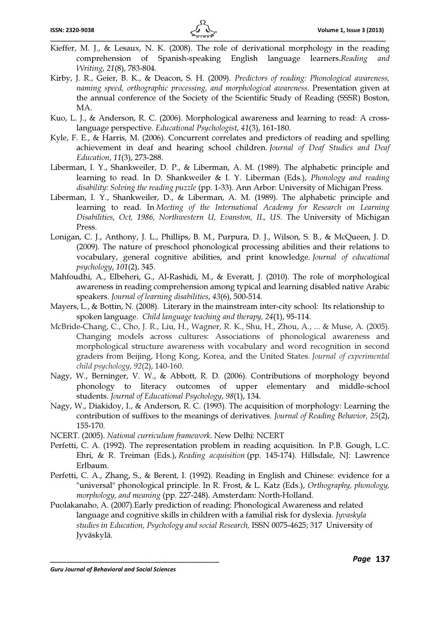- Kieffer, M. J., & Lesaux, N. K. (2008). The role of derivational morphology in the reading comprehension of Spanish-speaking English language learners.Reading and Writing, 21(8), 783-804.
- Kirby, J. R., Geier, B. K., & Deacon, S. H. (2009). Predictors of reading: Phonological awareness, naming speed, orthographic processing, and morphological awareness. Presentation given at the annual conference of the Society of the Scientific Study of Reading (SSSR) Boston, MA.
- Kuo, L. J., & Anderson, R. C. (2006). Morphological awareness and learning to read: A crosslanguage perspective. Educational Psychologist, 41(3), 161-180.
- Kyle, F. E., & Harris, M. (2006). Concurrent correlates and predictors of reading and spelling achievement in deaf and hearing school children. Journal of Deaf Studies and Deaf Education, 11(3), 273-288.
- Liberman, I. Y., Shankweiler, D. P., & Liberman, A. M. (1989). The alphabetic principle and learning to read. In D. Shankweiler & I. Y. Liberman (Eds.), Phonology and reading disability: Solving the reading puzzle (pp. 1-33). Ann Arbor: University of Michigan Press.
- Liberman, I. Y., Shankweiler, D., & Liberman, A. M. (1989). The alphabetic principle and learning to read. In Meeting of the International Academy for Research on Learning Disabilities, Oct, 1986, Northwestern U, Evanston, IL, US. The University of Michigan Press.
- Lonigan, C. J., Anthony, J. L., Phillips, B. M., Purpura, D. J., Wilson, S. B., & McQueen, J. D. (2009). The nature of preschool phonological processing abilities and their relations to vocabulary, general cognitive abilities, and print knowledge. Journal of educational psychology, 101(2), 345.
- Mahfoudhi, A., Elbeheri, G., Al-Rashidi, M., & Everatt, J. (2010). The role of morphological awareness in reading comprehension among typical and learning disabled native Arabic speakers. Journal of learning disabilities, 43(6), 500-514.
- Mayers, L., & Bottin, N. (2008). Literary in the mainstream inter-city school: Its relationship to spoken language. Child language teaching and therapy, 24(1), 95-114.
- McBride-Chang, C., Cho, J. R., Liu, H., Wagner, R. K., Shu, H., Zhou, A., ... & Muse, A. (2005). Changing models across cultures: Associations of phonological awareness and morphological structure awareness with vocabulary and word recognition in second graders from Beijing, Hong Kong, Korea, and the United States. Journal of experimental child psychology, 92(2), 140-160.
- Nagy, W., Berninger, V. W., & Abbott, R. D. (2006). Contributions of morphology beyond phonology to literacy outcomes of upper elementary and middle-school students. Journal of Educational Psychology, 98(1), 134.
- Nagy, W., Diakidoy, I., & Anderson, R. C. (1993). The acquisition of morphology: Learning the contribution of suffixes to the meanings of derivatives. Journal of Reading Behavior, 25(2), 155-170.
- NCERT. (2005). National curriculum framework. New Delhi: NCERT
- Perfetti, C. A. (1992). The representation problem in reading acquisition. In P.B. Gough, L.C. Ehri, & R. Treiman (Eds.), Reading acquisition (pp. 145-174). Hillsdale, NJ: Lawrence Erlbaum.
- Perfetti, C. A., Zhang, S., & Berent, I. (1992). Reading in English and Chinese: evidence for a "universal" phonological principle. In R. Frost, & L. Katz (Eds.), Orthography, phonology, morphology, and meaning (pp. 227-248). Amsterdam: North-Holland.
- Puolakanaho, A. (2007).Early prediction of reading: Phonological Awareness and related language and cognitive skills in children with a familial risk for dyslexia. Jyvaskyla studies in Education, Psychology and social Research, ISSN 0075-4625; 317 University of Jyväskylä.